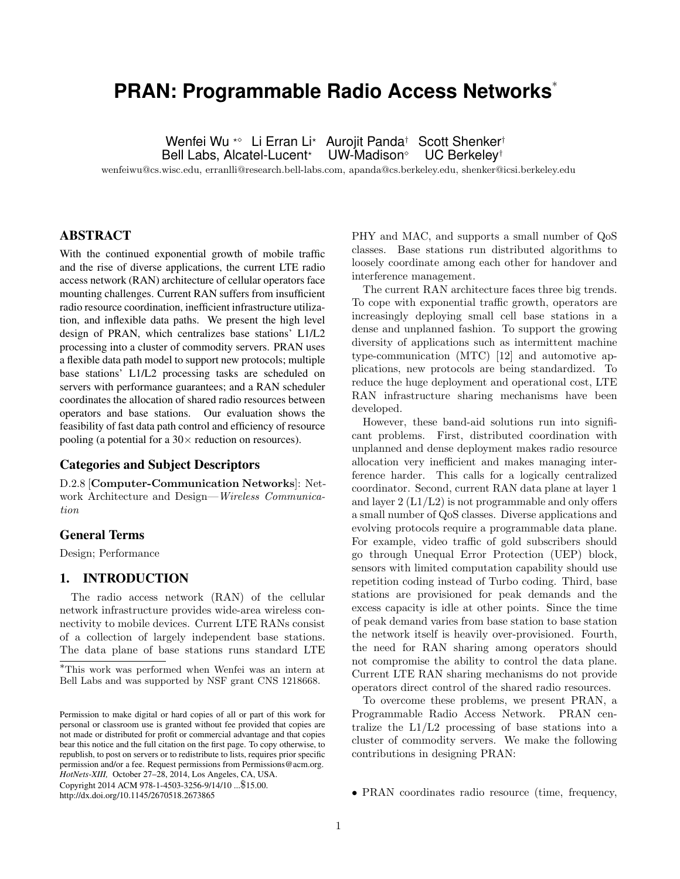# **PRAN: Programmable Radio Access Networks**<sup>∗</sup>

Wenfei Wu \* Li Erran Li\* Aurojit Panda† Scott Shenker† Bell Labs, Alcatel-Lucent<sup>\*</sup> UW-Madison<sup>®</sup> UC Berkeley<sup>†</sup>

wenfeiwu@cs.wisc.edu, erranlli@research.bell-labs.com, apanda@cs.berkeley.edu, shenker@icsi.berkeley.edu

## ABSTRACT

With the continued exponential growth of mobile traffic and the rise of diverse applications, the current LTE radio access network (RAN) architecture of cellular operators face mounting challenges. Current RAN suffers from insufficient radio resource coordination, inefficient infrastructure utilization, and inflexible data paths. We present the high level design of PRAN, which centralizes base stations' L1/L2 processing into a cluster of commodity servers. PRAN uses a flexible data path model to support new protocols; multiple base stations' L1/L2 processing tasks are scheduled on servers with performance guarantees; and a RAN scheduler coordinates the allocation of shared radio resources between operators and base stations. Our evaluation shows the feasibility of fast data path control and efficiency of resource pooling (a potential for a  $30\times$  reduction on resources).

#### Categories and Subject Descriptors

D.2.8 [Computer-Communication Networks]: Network Architecture and Design—Wireless Communication

#### General Terms

Design; Performance

# 1. INTRODUCTION

The radio access network (RAN) of the cellular network infrastructure provides wide-area wireless connectivity to mobile devices. Current LTE RANs consist of a collection of largely independent base stations. The data plane of base stations runs standard LTE

Copyright 2014 ACM 978-1-4503-3256-9/14/10 ...\$15.00.

http://dx.doi.org/10.1145/2670518.2673865

PHY and MAC, and supports a small number of QoS classes. Base stations run distributed algorithms to loosely coordinate among each other for handover and interference management.

The current RAN architecture faces three big trends. To cope with exponential traffic growth, operators are increasingly deploying small cell base stations in a dense and unplanned fashion. To support the growing diversity of applications such as intermittent machine type-communication (MTC) [12] and automotive applications, new protocols are being standardized. To reduce the huge deployment and operational cost, LTE RAN infrastructure sharing mechanisms have been developed.

However, these band-aid solutions run into significant problems. First, distributed coordination with unplanned and dense deployment makes radio resource allocation very inefficient and makes managing interference harder. This calls for a logically centralized coordinator. Second, current RAN data plane at layer 1 and layer 2 (L1/L2) is not programmable and only offers a small number of QoS classes. Diverse applications and evolving protocols require a programmable data plane. For example, video traffic of gold subscribers should go through Unequal Error Protection (UEP) block, sensors with limited computation capability should use repetition coding instead of Turbo coding. Third, base stations are provisioned for peak demands and the excess capacity is idle at other points. Since the time of peak demand varies from base station to base station the network itself is heavily over-provisioned. Fourth, the need for RAN sharing among operators should not compromise the ability to control the data plane. Current LTE RAN sharing mechanisms do not provide operators direct control of the shared radio resources.

To overcome these problems, we present PRAN, a Programmable Radio Access Network. PRAN centralize the L1/L2 processing of base stations into a cluster of commodity servers. We make the following contributions in designing PRAN:

<sup>∗</sup>This work was performed when Wenfei was an intern at Bell Labs and was supported by NSF grant CNS 1218668.

Permission to make digital or hard copies of all or part of this work for personal or classroom use is granted without fee provided that copies are not made or distributed for profit or commercial advantage and that copies bear this notice and the full citation on the first page. To copy otherwise, to republish, to post on servers or to redistribute to lists, requires prior specific permission and/or a fee. Request permissions from Permissions@acm.org. *HotNets-XIII,* October 27–28, 2014, Los Angeles, CA, USA.

<sup>•</sup> PRAN coordinates radio resource (time, frequency,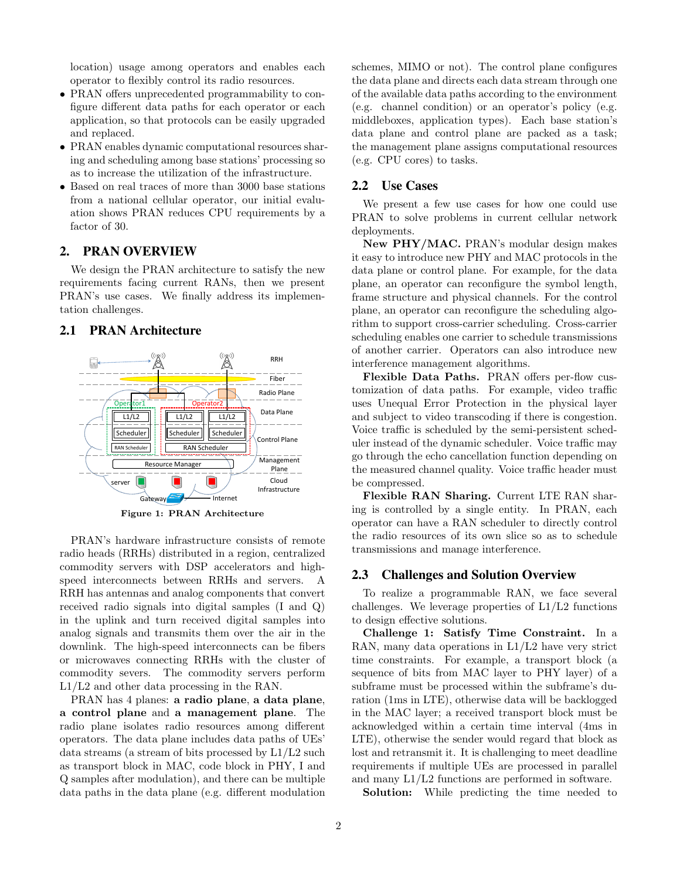location) usage among operators and enables each operator to flexibly control its radio resources.

- PRAN offers unprecedented programmability to configure different data paths for each operator or each application, so that protocols can be easily upgraded and replaced.
- PRAN enables dynamic computational resources sharing and scheduling among base stations' processing so as to increase the utilization of the infrastructure.
- Based on real traces of more than 3000 base stations from a national cellular operator, our initial evaluation shows PRAN reduces CPU requirements by a factor of 30.

## 2. PRAN OVERVIEW

We design the PRAN architecture to satisfy the new requirements facing current RANs, then we present PRAN's use cases. We finally address its implementation challenges.

## 2.1 PRAN Architecture



Figure 1: PRAN Architecture

PRAN's hardware infrastructure consists of remote radio heads (RRHs) distributed in a region, centralized commodity servers with DSP accelerators and highspeed interconnects between RRHs and servers. A RRH has antennas and analog components that convert received radio signals into digital samples (I and Q) in the uplink and turn received digital samples into analog signals and transmits them over the air in the downlink. The high-speed interconnects can be fibers or microwaves connecting RRHs with the cluster of commodity severs. The commodity servers perform L1/L2 and other data processing in the RAN.

PRAN has 4 planes: a radio plane, a data plane, a control plane and a management plane. The radio plane isolates radio resources among different operators. The data plane includes data paths of UEs' data streams (a stream of bits processed by L1/L2 such as transport block in MAC, code block in PHY, I and Q samples after modulation), and there can be multiple data paths in the data plane (e.g. different modulation

schemes, MIMO or not). The control plane configures the data plane and directs each data stream through one of the available data paths according to the environment (e.g. channel condition) or an operator's policy (e.g. middleboxes, application types). Each base station's data plane and control plane are packed as a task; the management plane assigns computational resources (e.g. CPU cores) to tasks.

## 2.2 Use Cases

We present a few use cases for how one could use PRAN to solve problems in current cellular network deployments.

New PHY/MAC. PRAN's modular design makes it easy to introduce new PHY and MAC protocols in the data plane or control plane. For example, for the data plane, an operator can reconfigure the symbol length, frame structure and physical channels. For the control plane, an operator can reconfigure the scheduling algorithm to support cross-carrier scheduling. Cross-carrier scheduling enables one carrier to schedule transmissions of another carrier. Operators can also introduce new interference management algorithms.

Flexible Data Paths. PRAN offers per-flow customization of data paths. For example, video traffic uses Unequal Error Protection in the physical layer and subject to video transcoding if there is congestion. Voice traffic is scheduled by the semi-persistent scheduler instead of the dynamic scheduler. Voice traffic may go through the echo cancellation function depending on the measured channel quality. Voice traffic header must be compressed.

Flexible RAN Sharing. Current LTE RAN sharing is controlled by a single entity. In PRAN, each operator can have a RAN scheduler to directly control the radio resources of its own slice so as to schedule transmissions and manage interference.

#### 2.3 Challenges and Solution Overview

To realize a programmable RAN, we face several challenges. We leverage properties of L1/L2 functions to design effective solutions.

Challenge 1: Satisfy Time Constraint. In a RAN, many data operations in L1/L2 have very strict time constraints. For example, a transport block (a sequence of bits from MAC layer to PHY layer) of a subframe must be processed within the subframe's duration (1ms in LTE), otherwise data will be backlogged in the MAC layer; a received transport block must be acknowledged within a certain time interval (4ms in LTE), otherwise the sender would regard that block as lost and retransmit it. It is challenging to meet deadline requirements if multiple UEs are processed in parallel and many L1/L2 functions are performed in software.

Solution: While predicting the time needed to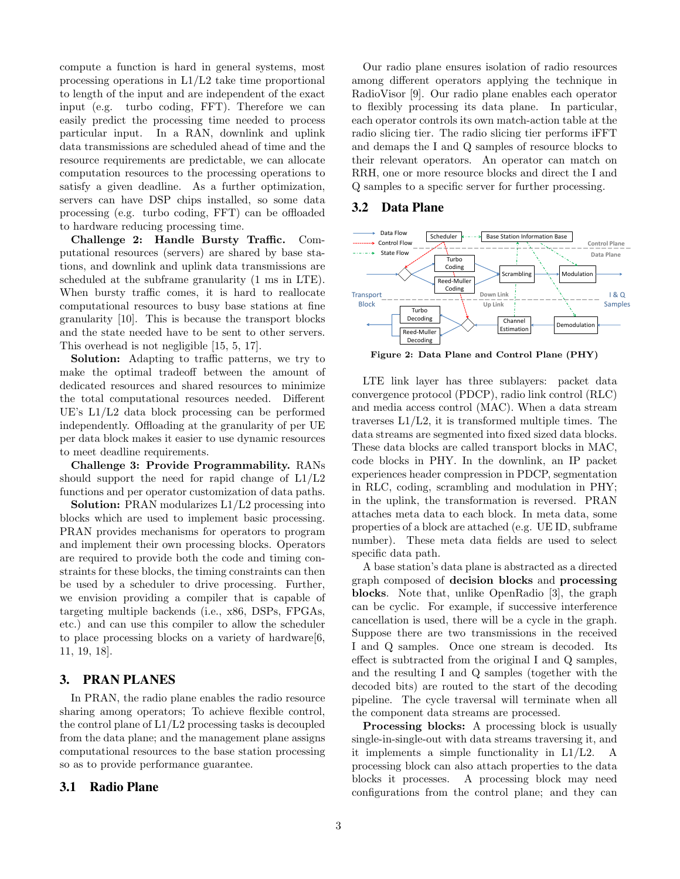compute a function is hard in general systems, most processing operations in L1/L2 take time proportional to length of the input and are independent of the exact input (e.g. turbo coding, FFT). Therefore we can easily predict the processing time needed to process particular input. In a RAN, downlink and uplink data transmissions are scheduled ahead of time and the resource requirements are predictable, we can allocate computation resources to the processing operations to satisfy a given deadline. As a further optimization, servers can have DSP chips installed, so some data processing (e.g. turbo coding, FFT) can be offloaded to hardware reducing processing time.

Challenge 2: Handle Bursty Traffic. Computational resources (servers) are shared by base stations, and downlink and uplink data transmissions are scheduled at the subframe granularity (1 ms in LTE). When bursty traffic comes, it is hard to reallocate computational resources to busy base stations at fine granularity [10]. This is because the transport blocks and the state needed have to be sent to other servers. This overhead is not negligible [15, 5, 17].

Solution: Adapting to traffic patterns, we try to make the optimal tradeoff between the amount of dedicated resources and shared resources to minimize the total computational resources needed. Different UE's L1/L2 data block processing can be performed independently. Offloading at the granularity of per UE per data block makes it easier to use dynamic resources to meet deadline requirements.

Challenge 3: Provide Programmability. RANs should support the need for rapid change of L1/L2 functions and per operator customization of data paths.

Solution: PRAN modularizes  $L1/L2$  processing into blocks which are used to implement basic processing. PRAN provides mechanisms for operators to program and implement their own processing blocks. Operators are required to provide both the code and timing constraints for these blocks, the timing constraints can then be used by a scheduler to drive processing. Further, we envision providing a compiler that is capable of targeting multiple backends (i.e., x86, DSPs, FPGAs, etc.) and can use this compiler to allow the scheduler to place processing blocks on a variety of hardware[6, 11, 19, 18].

#### 3. PRAN PLANES

In PRAN, the radio plane enables the radio resource sharing among operators; To achieve flexible control, the control plane of L1/L2 processing tasks is decoupled from the data plane; and the management plane assigns computational resources to the base station processing so as to provide performance guarantee.

## 3.1 Radio Plane

Our radio plane ensures isolation of radio resources among different operators applying the technique in RadioVisor [9]. Our radio plane enables each operator to flexibly processing its data plane. In particular, each operator controls its own match-action table at the radio slicing tier. The radio slicing tier performs iFFT and demaps the I and Q samples of resource blocks to their relevant operators. An operator can match on RRH, one or more resource blocks and direct the I and Q samples to a specific server for further processing.

#### 3.2 Data Plane



Figure 2: Data Plane and Control Plane (PHY)

LTE link layer has three sublayers: packet data convergence protocol (PDCP), radio link control (RLC) and media access control (MAC). When a data stream traverses L1/L2, it is transformed multiple times. The data streams are segmented into fixed sized data blocks. These data blocks are called transport blocks in MAC, code blocks in PHY. In the downlink, an IP packet experiences header compression in PDCP, segmentation in RLC, coding, scrambling and modulation in PHY; in the uplink, the transformation is reversed. PRAN attaches meta data to each block. In meta data, some properties of a block are attached (e.g. UE ID, subframe number). These meta data fields are used to select specific data path.

A base station's data plane is abstracted as a directed graph composed of decision blocks and processing blocks. Note that, unlike OpenRadio [3], the graph can be cyclic. For example, if successive interference cancellation is used, there will be a cycle in the graph. Suppose there are two transmissions in the received I and Q samples. Once one stream is decoded. Its effect is subtracted from the original I and Q samples, and the resulting I and Q samples (together with the decoded bits) are routed to the start of the decoding pipeline. The cycle traversal will terminate when all the component data streams are processed.

Processing blocks: A processing block is usually single-in-single-out with data streams traversing it, and it implements a simple functionality in L1/L2. A processing block can also attach properties to the data blocks it processes. A processing block may need configurations from the control plane; and they can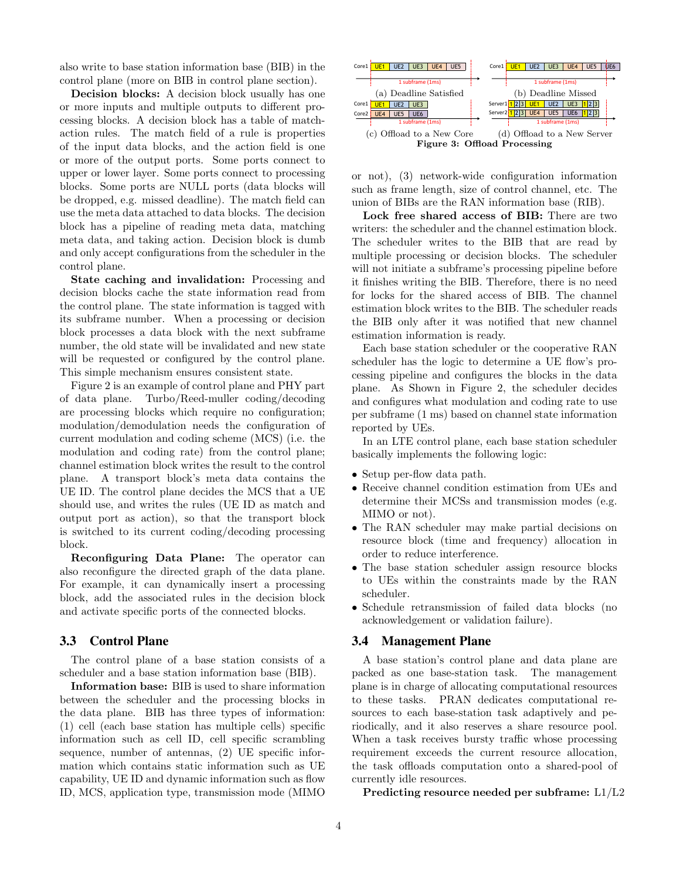also write to base station information base (BIB) in the control plane (more on BIB in control plane section).

Decision blocks: A decision block usually has one or more inputs and multiple outputs to different processing blocks. A decision block has a table of matchaction rules. The match field of a rule is properties of the input data blocks, and the action field is one or more of the output ports. Some ports connect to upper or lower layer. Some ports connect to processing blocks. Some ports are NULL ports (data blocks will be dropped, e.g. missed deadline). The match field can use the meta data attached to data blocks. The decision block has a pipeline of reading meta data, matching meta data, and taking action. Decision block is dumb and only accept configurations from the scheduler in the control plane.

State caching and invalidation: Processing and decision blocks cache the state information read from the control plane. The state information is tagged with its subframe number. When a processing or decision block processes a data block with the next subframe number, the old state will be invalidated and new state will be requested or configured by the control plane. This simple mechanism ensures consistent state.

Figure 2 is an example of control plane and PHY part of data plane. Turbo/Reed-muller coding/decoding are processing blocks which require no configuration; modulation/demodulation needs the configuration of current modulation and coding scheme (MCS) (i.e. the modulation and coding rate) from the control plane; channel estimation block writes the result to the control plane. A transport block's meta data contains the UE ID. The control plane decides the MCS that a UE should use, and writes the rules (UE ID as match and output port as action), so that the transport block is switched to its current coding/decoding processing block.

Reconfiguring Data Plane: The operator can also reconfigure the directed graph of the data plane. For example, it can dynamically insert a processing block, add the associated rules in the decision block and activate specific ports of the connected blocks.

#### 3.3 Control Plane

The control plane of a base station consists of a scheduler and a base station information base (BIB).

Information base: BIB is used to share information between the scheduler and the processing blocks in the data plane. BIB has three types of information: (1) cell (each base station has multiple cells) specific information such as cell ID, cell specific scrambling sequence, number of antennas, (2) UE specific information which contains static information such as UE capability, UE ID and dynamic information such as flow ID, MCS, application type, transmission mode (MIMO



or not), (3) network-wide configuration information such as frame length, size of control channel, etc. The union of BIBs are the RAN information base (RIB).

Lock free shared access of BIB: There are two writers: the scheduler and the channel estimation block. The scheduler writes to the BIB that are read by multiple processing or decision blocks. The scheduler will not initiate a subframe's processing pipeline before it finishes writing the BIB. Therefore, there is no need for locks for the shared access of BIB. The channel estimation block writes to the BIB. The scheduler reads the BIB only after it was notified that new channel estimation information is ready.

Each base station scheduler or the cooperative RAN scheduler has the logic to determine a UE flow's processing pipeline and configures the blocks in the data plane. As Shown in Figure 2, the scheduler decides and configures what modulation and coding rate to use per subframe (1 ms) based on channel state information reported by UEs.

In an LTE control plane, each base station scheduler basically implements the following logic:

- Setup per-flow data path.
- Receive channel condition estimation from UEs and determine their MCSs and transmission modes (e.g. MIMO or not).
- The RAN scheduler may make partial decisions on resource block (time and frequency) allocation in order to reduce interference.
- The base station scheduler assign resource blocks to UEs within the constraints made by the RAN scheduler.
- Schedule retransmission of failed data blocks (no acknowledgement or validation failure).

#### 3.4 Management Plane

A base station's control plane and data plane are packed as one base-station task. The management plane is in charge of allocating computational resources to these tasks. PRAN dedicates computational resources to each base-station task adaptively and periodically, and it also reserves a share resource pool. When a task receives bursty traffic whose processing requirement exceeds the current resource allocation, the task offloads computation onto a shared-pool of currently idle resources.

Predicting resource needed per subframe: L1/L2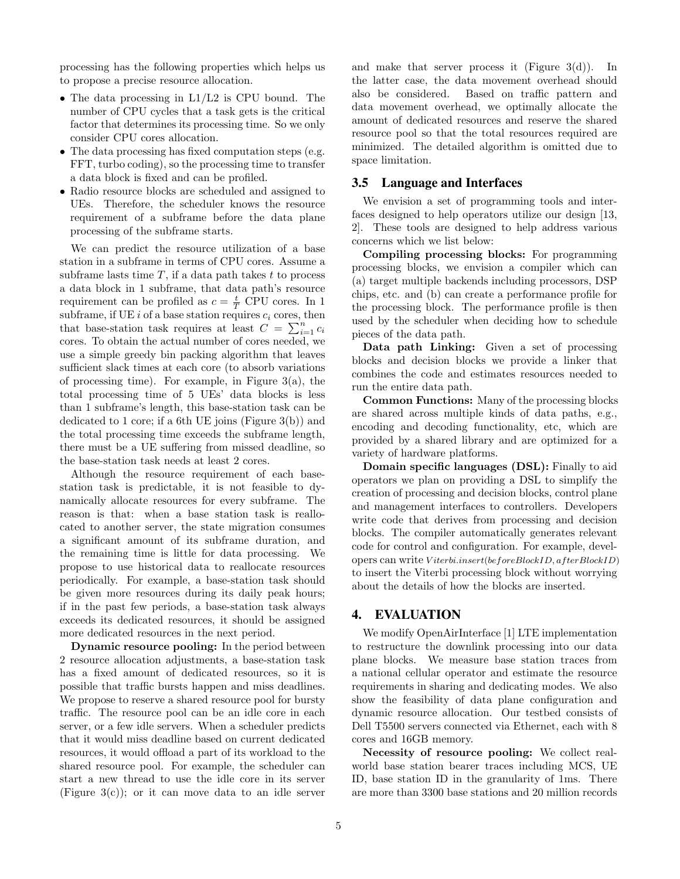processing has the following properties which helps us to propose a precise resource allocation.

- The data processing in L1/L2 is CPU bound. The number of CPU cycles that a task gets is the critical factor that determines its processing time. So we only consider CPU cores allocation.
- The data processing has fixed computation steps (e.g. FFT, turbo coding), so the processing time to transfer a data block is fixed and can be profiled.
- Radio resource blocks are scheduled and assigned to UEs. Therefore, the scheduler knows the resource requirement of a subframe before the data plane processing of the subframe starts.

We can predict the resource utilization of a base station in a subframe in terms of CPU cores. Assume a subframe lasts time  $T$ , if a data path takes  $t$  to process a data block in 1 subframe, that data path's resource requirement can be profiled as  $c = \frac{t}{T}$  CPU cores. In 1 subframe, if  $UE i$  of a base station requires  $c_i$  cores, then that base-station task requires at least  $C = \sum_{i=1}^{n} c_i$ cores. To obtain the actual number of cores needed, we use a simple greedy bin packing algorithm that leaves sufficient slack times at each core (to absorb variations of processing time). For example, in Figure  $3(a)$ , the total processing time of 5 UEs' data blocks is less than 1 subframe's length, this base-station task can be dedicated to 1 core; if a 6th UE joins (Figure 3(b)) and the total processing time exceeds the subframe length, there must be a UE suffering from missed deadline, so the base-station task needs at least 2 cores.

Although the resource requirement of each basestation task is predictable, it is not feasible to dynamically allocate resources for every subframe. The reason is that: when a base station task is reallocated to another server, the state migration consumes a significant amount of its subframe duration, and the remaining time is little for data processing. We propose to use historical data to reallocate resources periodically. For example, a base-station task should be given more resources during its daily peak hours; if in the past few periods, a base-station task always exceeds its dedicated resources, it should be assigned more dedicated resources in the next period.

Dynamic resource pooling: In the period between 2 resource allocation adjustments, a base-station task has a fixed amount of dedicated resources, so it is possible that traffic bursts happen and miss deadlines. We propose to reserve a shared resource pool for bursty traffic. The resource pool can be an idle core in each server, or a few idle servers. When a scheduler predicts that it would miss deadline based on current dedicated resources, it would offload a part of its workload to the shared resource pool. For example, the scheduler can start a new thread to use the idle core in its server (Figure  $3(c)$ ); or it can move data to an idle server and make that server process it (Figure  $3(d)$ ). In the latter case, the data movement overhead should also be considered. Based on traffic pattern and data movement overhead, we optimally allocate the amount of dedicated resources and reserve the shared resource pool so that the total resources required are minimized. The detailed algorithm is omitted due to space limitation.

### 3.5 Language and Interfaces

We envision a set of programming tools and interfaces designed to help operators utilize our design [13, 2]. These tools are designed to help address various concerns which we list below:

Compiling processing blocks: For programming processing blocks, we envision a compiler which can (a) target multiple backends including processors, DSP chips, etc. and (b) can create a performance profile for the processing block. The performance profile is then used by the scheduler when deciding how to schedule pieces of the data path.

Data path Linking: Given a set of processing blocks and decision blocks we provide a linker that combines the code and estimates resources needed to run the entire data path.

Common Functions: Many of the processing blocks are shared across multiple kinds of data paths, e.g., encoding and decoding functionality, etc, which are provided by a shared library and are optimized for a variety of hardware platforms.

Domain specific languages (DSL): Finally to aid operators we plan on providing a DSL to simplify the creation of processing and decision blocks, control plane and management interfaces to controllers. Developers write code that derives from processing and decision blocks. The compiler automatically generates relevant code for control and configuration. For example, developers can write V iterbi.insert(bef oreBlockID, af terBlockID) to insert the Viterbi processing block without worrying about the details of how the blocks are inserted.

## 4. EVALUATION

We modify OpenAirInterface [1] LTE implementation to restructure the downlink processing into our data plane blocks. We measure base station traces from a national cellular operator and estimate the resource requirements in sharing and dedicating modes. We also show the feasibility of data plane configuration and dynamic resource allocation. Our testbed consists of Dell T5500 servers connected via Ethernet, each with 8 cores and 16GB memory.

Necessity of resource pooling: We collect realworld base station bearer traces including MCS, UE ID, base station ID in the granularity of 1ms. There are more than 3300 base stations and 20 million records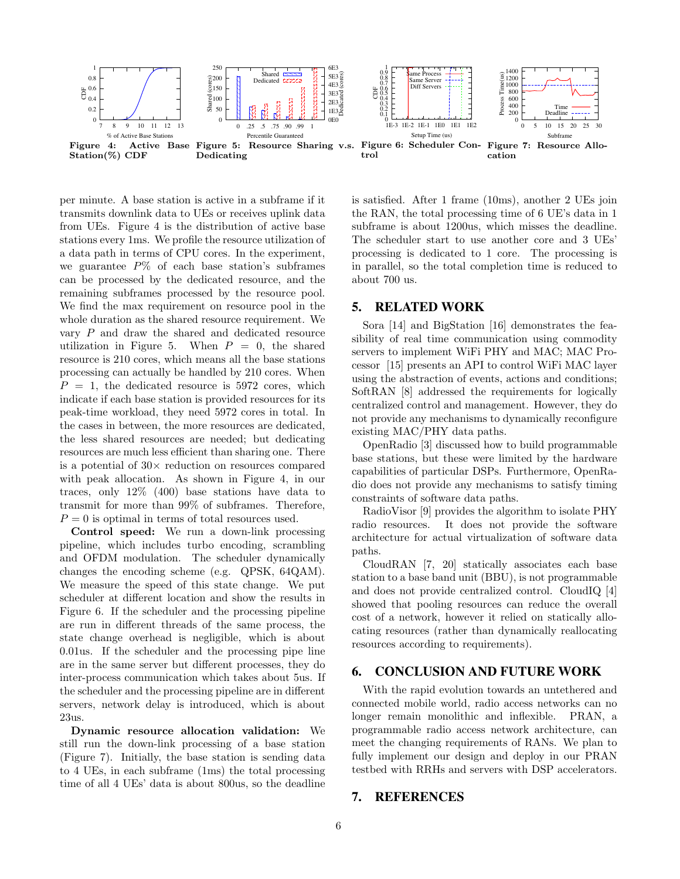

per minute. A base station is active in a subframe if it transmits downlink data to UEs or receives uplink data from UEs. Figure 4 is the distribution of active base stations every 1ms. We profile the resource utilization of a data path in terms of CPU cores. In the experiment, we guarantee  $P\%$  of each base station's subframes can be processed by the dedicated resource, and the remaining subframes processed by the resource pool. We find the max requirement on resource pool in the whole duration as the shared resource requirement. We vary P and draw the shared and dedicated resource utilization in Figure 5. When  $P = 0$ , the shared resource is 210 cores, which means all the base stations processing can actually be handled by 210 cores. When  $P = 1$ , the dedicated resource is 5972 cores, which indicate if each base station is provided resources for its peak-time workload, they need 5972 cores in total. In the cases in between, the more resources are dedicated, the less shared resources are needed; but dedicating resources are much less efficient than sharing one. There is a potential of  $30\times$  reduction on resources compared with peak allocation. As shown in Figure 4, in our traces, only 12% (400) base stations have data to transmit for more than 99% of subframes. Therefore,  $P = 0$  is optimal in terms of total resources used.

Control speed: We run a down-link processing pipeline, which includes turbo encoding, scrambling and OFDM modulation. The scheduler dynamically changes the encoding scheme (e.g. QPSK, 64QAM). We measure the speed of this state change. We put scheduler at different location and show the results in Figure 6. If the scheduler and the processing pipeline are run in different threads of the same process, the state change overhead is negligible, which is about 0.01us. If the scheduler and the processing pipe line are in the same server but different processes, they do inter-process communication which takes about 5us. If the scheduler and the processing pipeline are in different servers, network delay is introduced, which is about 23us.

Dynamic resource allocation validation: We still run the down-link processing of a base station (Figure 7). Initially, the base station is sending data to 4 UEs, in each subframe (1ms) the total processing time of all 4 UEs' data is about 800us, so the deadline is satisfied. After 1 frame (10ms), another 2 UEs join the RAN, the total processing time of 6 UE's data in 1 subframe is about 1200us, which misses the deadline. The scheduler start to use another core and 3 UEs' processing is dedicated to 1 core. The processing is in parallel, so the total completion time is reduced to about 700 us.

#### 5. RELATED WORK

Sora [14] and BigStation [16] demonstrates the feasibility of real time communication using commodity servers to implement WiFi PHY and MAC; MAC Processor [15] presents an API to control WiFi MAC layer using the abstraction of events, actions and conditions; SoftRAN [8] addressed the requirements for logically centralized control and management. However, they do not provide any mechanisms to dynamically reconfigure existing MAC/PHY data paths.

OpenRadio [3] discussed how to build programmable base stations, but these were limited by the hardware capabilities of particular DSPs. Furthermore, OpenRadio does not provide any mechanisms to satisfy timing constraints of software data paths.

RadioVisor [9] provides the algorithm to isolate PHY radio resources. It does not provide the software architecture for actual virtualization of software data paths.

CloudRAN [7, 20] statically associates each base station to a base band unit (BBU), is not programmable and does not provide centralized control. CloudIQ [4] showed that pooling resources can reduce the overall cost of a network, however it relied on statically allocating resources (rather than dynamically reallocating resources according to requirements).

# 6. CONCLUSION AND FUTURE WORK

With the rapid evolution towards an untethered and connected mobile world, radio access networks can no longer remain monolithic and inflexible. PRAN, a programmable radio access network architecture, can meet the changing requirements of RANs. We plan to fully implement our design and deploy in our PRAN testbed with RRHs and servers with DSP accelerators.

## 7. REFERENCES